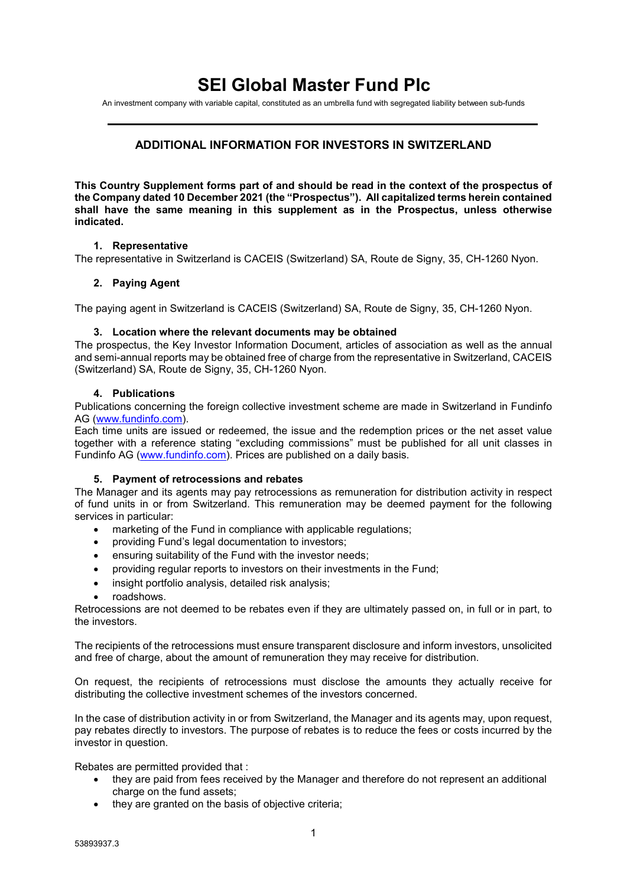# **SEI Global Master Fund Plc**

An investment company with variable capital, constituted as an umbrella fund with segregated liability between sub-funds

## **ADDITIONAL INFORMATION FOR INVESTORS IN SWITZERLAND**

**This Country Supplement forms part of and should be read in the context of the prospectus of the Company dated 10 December 2021 (the "Prospectus"). All capitalized terms herein contained shall have the same meaning in this supplement as in the Prospectus, unless otherwise indicated.**

## **1. Representative**

The representative in Switzerland is CACEIS (Switzerland) SA, Route de Signy, 35, CH-1260 Nyon.

## **2. Paying Agent**

The paying agent in Switzerland is CACEIS (Switzerland) SA, Route de Signy, 35, CH-1260 Nyon.

#### **3. Location where the relevant documents may be obtained**

The prospectus, the Key Investor Information Document, articles of association as well as the annual and semi-annual reports may be obtained free of charge from the representative in Switzerland, CACEIS (Switzerland) SA, Route de Signy, 35, CH-1260 Nyon.

#### **4. Publications**

Publications concerning the foreign collective investment scheme are made in Switzerland in Fundinfo AG [\(www.fundinfo.com\)](http://www.fundinfo.com/).

Each time units are issued or redeemed, the issue and the redemption prices or the net asset value together with a reference stating "excluding commissions" must be published for all unit classes in Fundinfo AG [\(www.fundinfo.com\)](http://www.fundinfo.com/). Prices are published on a daily basis.

#### **5. Payment of retrocessions and rebates**

The Manager and its agents may pay retrocessions as remuneration for distribution activity in respect of fund units in or from Switzerland. This remuneration may be deemed payment for the following services in particular:

- marketing of the Fund in compliance with applicable regulations:
- providing Fund's legal documentation to investors;
- ensuring suitability of the Fund with the investor needs;
- providing regular reports to investors on their investments in the Fund;
- insight portfolio analysis, detailed risk analysis;
- roadshows.

Retrocessions are not deemed to be rebates even if they are ultimately passed on, in full or in part, to the investors.

The recipients of the retrocessions must ensure transparent disclosure and inform investors, unsolicited and free of charge, about the amount of remuneration they may receive for distribution.

On request, the recipients of retrocessions must disclose the amounts they actually receive for distributing the collective investment schemes of the investors concerned.

In the case of distribution activity in or from Switzerland, the Manager and its agents may, upon request, pay rebates directly to investors. The purpose of rebates is to reduce the fees or costs incurred by the investor in question.

Rebates are permitted provided that :

- they are paid from fees received by the Manager and therefore do not represent an additional charge on the fund assets;
- they are granted on the basis of objective criteria;